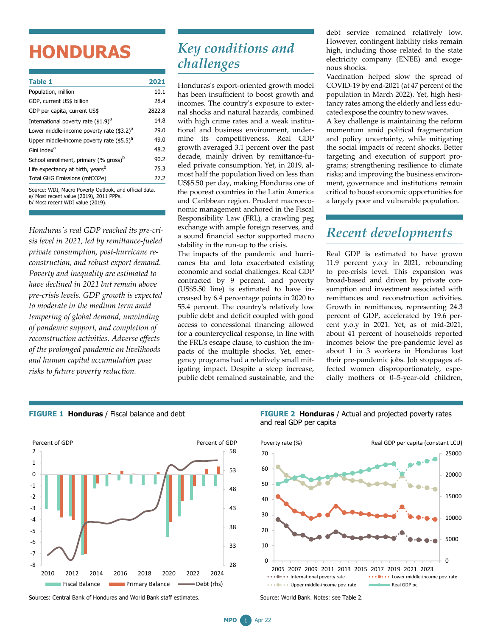# **HONDURAS**

| Table 1                                                                                           | 2021   |
|---------------------------------------------------------------------------------------------------|--------|
| Population, million                                                                               | 10.1   |
| GDP, current US\$ billion                                                                         | 28.4   |
| GDP per capita, current US\$                                                                      | 2822.8 |
| International poverty rate $(1.9)^d$                                                              | 14.8   |
| Lower middle-income poverty rate (\$3.2) <sup>a</sup>                                             | 29.0   |
| Upper middle-income poverty rate $(55.5)^{a}$                                                     | 49.0   |
| Gini index <sup>a</sup>                                                                           | 48.2   |
| School enrollment, primary (% gross) <sup>b</sup>                                                 | 90.2   |
| Life expectancy at birth, years <sup>b</sup>                                                      | 75.3   |
| Total GHG Emissions (mtCO2e)                                                                      | 27.2   |
| Source: WDI, Macro Poverty Outlook, and official data.<br>a/ Most recent value (2019), 2011 PPPs. |        |

b/ Most recent WDI value (2019).

*Honduras's real GDP reached its pre-crisis level in 2021, led by remittance-fueled private consumption, post-hurricane reconstruction, and robust export demand. Poverty and inequality are estimated to have declined in 2021 but remain above pre-crisis levels. GDP growth is expected to moderate in the medium term amid tempering of global demand, unwinding of pandemic support, and completion of reconstruction activities. Adverse effects of the prolonged pandemic on livelihoods and human capital accumulation pose risks to future poverty reduction.*

#### *Key conditions and challenges*

Honduras's export-oriented growth model has been insufficient to boost growth and incomes. The country's exposure to external shocks and natural hazards, combined with high crime rates and a weak institutional and business environment, undermine its competitiveness. Real GDP growth averaged 3.1 percent over the past decade, mainly driven by remittance-fueled private consumption. Yet, in 2019, almost half the population lived on less than US\$5.50 per day, making Honduras one of the poorest countries in the Latin America and Caribbean region. Prudent macroeconomic management anchored in the Fiscal Responsibility Law (FRL), a crawling peg exchange with ample foreign reserves, and a sound financial sector supported macro stability in the run-up to the crisis.

The impacts of the pandemic and hurricanes Eta and Iota exacerbated existing economic and social challenges. Real GDP contracted by 9 percent, and poverty (US\$5.50 line) is estimated to have increased by 6.4 percentage points in 2020 to 55.4 percent. The country's relatively low public debt and deficit coupled with good access to concessional financing allowed for a countercyclical response, in line with the FRL's escape clause, to cushion the impacts of the multiple shocks. Yet, emergency programs had a relatively small mitigating impact. Despite a steep increase, public debt remained sustainable, and the debt service remained relatively low. However, contingent liability risks remain high, including those related to the state electricity company (ENEE) and exogenous shocks.

Vaccination helped slow the spread of COVID-19 by end-2021 (at 47 percent of the population in March 2022). Yet, high hesitancy rates among the elderly and less educated expose the country to new waves.

A key challenge is maintaining the reform momentum amid political fragmentation and policy uncertainty, while mitigating the social impacts of recent shocks. Better targeting and execution of support programs; strengthening resilience to climate risks; and improving the business environment, governance and institutions remain critical to boost economic opportunities for a largely poor and vulnerable population.

## *Recent developments*

Real GDP is estimated to have grown 11.9 percent y.o.y in 2021, rebounding to pre-crisis level. This expansion was broad-based and driven by private consumption and investment associated with remittances and reconstruction activities. Growth in remittances, representing 24.3 percent of GDP, accelerated by 19.6 percent y.o.y in 2021. Yet, as of mid-2021, about 41 percent of households reported incomes below the pre-pandemic level as about 1 in 3 workers in Honduras lost their pre-pandemic jobs. Job stoppages affected women disproportionately, especially mothers of 0–5-year-old children,



#### **FIGURE 1 Honduras** / Fiscal balance and debt

Sources: Central Bank of Honduras and World Bank staff estimates.





Source: World Bank. Notes: see Table 2.